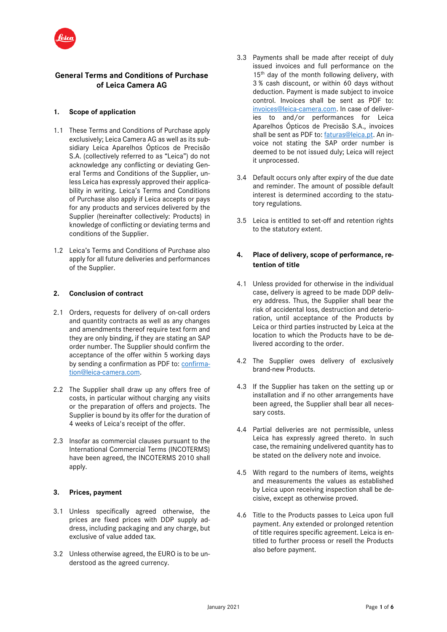

## **General Terms and Conditions of Purchase of Leica Camera AG**

### **1. Scope of application**

- 1.1 These Terms and Conditions of Purchase apply exclusively; Leica Camera AG as well as its subsidiary Leica Aparelhos Ópticos de Precisão S.A. (collectively referred to as "Leica") do not acknowledge any conflicting or deviating General Terms and Conditions of the Supplier, unless Leica has expressly approved their applicability in writing. Leica's Terms and Conditions of Purchase also apply if Leica accepts or pays for any products and services delivered by the Supplier (hereinafter collectively: Products) in knowledge of conflicting or deviating terms and conditions of the Supplier.
- 1.2 Leica's Terms and Conditions of Purchase also apply for all future deliveries and performances of the Supplier.

### **2. Conclusion of contract**

- 2.1 Orders, requests for delivery of on-call orders and quantity contracts as well as any changes and amendments thereof require text form and they are only binding, if they are stating an SAP order number. The Supplier should confirm the acceptance of the offer within 5 working days by sending a confirmation as PDF to: [confirma](mailto:confirmation@leica-camera.com)[tion@leica-camera.com.](mailto:confirmation@leica-camera.com)
- 2.2 The Supplier shall draw up any offers free of costs, in particular without charging any visits or the preparation of offers and projects. The Supplier is bound by its offer for the duration of 4 weeks of Leica's receipt of the offer.
- 2.3 Insofar as commercial clauses pursuant to the International Commercial Terms (INCOTERMS) have been agreed, the INCOTERMS 2010 shall apply.

### **3. Prices, payment**

- 3.1 Unless specifically agreed otherwise, the prices are fixed prices with DDP supply address, including packaging and any charge, but exclusive of value added tax.
- 3.2 Unless otherwise agreed, the EURO is to be understood as the agreed currency.
- 3.3 Payments shall be made after receipt of duly issued invoices and full performance on the 15<sup>th</sup> day of the month following delivery, with 3 % cash discount, or within 60 days without deduction. Payment is made subject to invoice control. Invoices shall be sent as PDF to: [invoices@leica-camera.com.](mailto:invoices@leica-camera.com) In case of deliveries to and/or performances for Leica Aparelhos Ópticos de Precisão S.A., invoices shall be sent as PDF to: [faturas@leica.pt.](mailto:faturas@leica.pt) An invoice not stating the SAP order number is deemed to be not issued duly; Leica will reject it unprocessed.
- 3.4 Default occurs only after expiry of the due date and reminder. The amount of possible default interest is determined according to the statutory regulations.
- 3.5 Leica is entitled to set-off and retention rights to the statutory extent.

## **4. Place of delivery, scope of performance, retention of title**

- 4.1 Unless provided for otherwise in the individual case, delivery is agreed to be made DDP delivery address. Thus, the Supplier shall bear the risk of accidental loss, destruction and deterioration, until acceptance of the Products by Leica or third parties instructed by Leica at the location to which the Products have to be delivered according to the order.
- 4.2 The Supplier owes delivery of exclusively brand-new Products.
- 4.3 If the Supplier has taken on the setting up or installation and if no other arrangements have been agreed, the Supplier shall bear all necessary costs.
- 4.4 Partial deliveries are not permissible, unless Leica has expressly agreed thereto. In such case, the remaining undelivered quantity has to be stated on the delivery note and invoice.
- 4.5 With regard to the numbers of items, weights and measurements the values as established by Leica upon receiving inspection shall be decisive, except as otherwise proved.
- 4.6 Title to the Products passes to Leica upon full payment. Any extended or prolonged retention of title requires specific agreement. Leica is entitled to further process or resell the Products also before payment.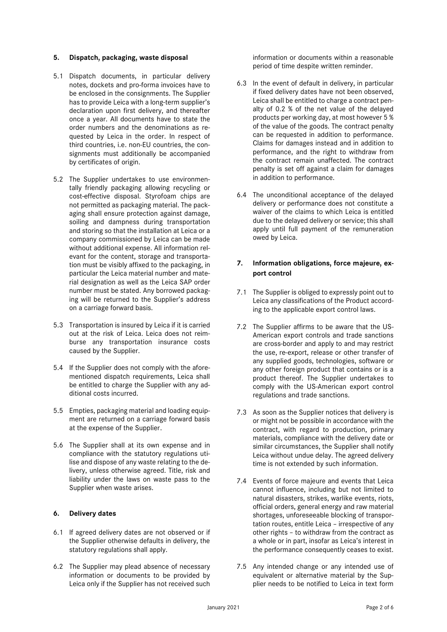### **5. Dispatch, packaging, waste disposal**

- 5.1 Dispatch documents, in particular delivery notes, dockets and pro-forma invoices have to be enclosed in the consignments. The Supplier has to provide Leica with a long-term supplier's declaration upon first delivery, and thereafter once a year. All documents have to state the order numbers and the denominations as requested by Leica in the order. In respect of third countries, i.e. non-EU countries, the consignments must additionally be accompanied by certificates of origin.
- 5.2 The Supplier undertakes to use environmentally friendly packaging allowing recycling or cost-effective disposal. Styrofoam chips are not permitted as packaging material. The packaging shall ensure protection against damage, soiling and dampness during transportation and storing so that the installation at Leica or a company commissioned by Leica can be made without additional expense. All information relevant for the content, storage and transportation must be visibly affixed to the packaging, in particular the Leica material number and material designation as well as the Leica SAP order number must be stated. Any borrowed packaging will be returned to the Supplier's address on a carriage forward basis.
- 5.3 Transportation is insured by Leica if it is carried out at the risk of Leica. Leica does not reimburse any transportation insurance costs caused by the Supplier.
- 5.4 If the Supplier does not comply with the aforementioned dispatch requirements, Leica shall be entitled to charge the Supplier with any additional costs incurred.
- 5.5 Empties, packaging material and loading equipment are returned on a carriage forward basis at the expense of the Supplier.
- 5.6 The Supplier shall at its own expense and in compliance with the statutory regulations utilise and dispose of any waste relating to the delivery, unless otherwise agreed. Title, risk and liability under the laws on waste pass to the Supplier when waste arises.

### **6. Delivery dates**

- 6.1 If agreed delivery dates are not observed or if the Supplier otherwise defaults in delivery, the statutory regulations shall apply.
- 6.2 The Supplier may plead absence of necessary information or documents to be provided by Leica only if the Supplier has not received such

information or documents within a reasonable period of time despite written reminder.

- 6.3 In the event of default in delivery, in particular if fixed delivery dates have not been observed, Leica shall be entitled to charge a contract penalty of 0.2 % of the net value of the delayed products per working day, at most however 5 % of the value of the goods. The contract penalty can be requested in addition to performance. Claims for damages instead and in addition to performance, and the right to withdraw from the contract remain unaffected. The contract penalty is set off against a claim for damages in addition to performance.
- 6.4 The unconditional acceptance of the delayed delivery or performance does not constitute a waiver of the claims to which Leica is entitled due to the delayed delivery or service; this shall apply until full payment of the remuneration owed by Leica.

### **7. Information obligations, force majeure, export control**

- 7.1 The Supplier is obliged to expressly point out to Leica any classifications of the Product according to the applicable export control laws.
- 7.2 The Supplier affirms to be aware that the US-American export controls and trade sanctions are cross-border and apply to and may restrict the use, re-export, release or other transfer of any supplied goods, technologies, software or any other foreign product that contains or is a product thereof. The Supplier undertakes to comply with the US-American export control regulations and trade sanctions.
- 7.3 As soon as the Supplier notices that delivery is or might not be possible in accordance with the contract, with regard to production, primary materials, compliance with the delivery date or similar circumstances, the Supplier shall notify Leica without undue delay. The agreed delivery time is not extended by such information.
- 7.4 Events of force majeure and events that Leica cannot influence, including but not limited to natural disasters, strikes, warlike events, riots, official orders, general energy and raw material shortages, unforeseeable blocking of transportation routes, entitle Leica – irrespective of any other rights – to withdraw from the contract as a whole or in part, insofar as Leica's interest in the performance consequently ceases to exist.
- 7.5 Any intended change or any intended use of equivalent or alternative material by the Supplier needs to be notified to Leica in text form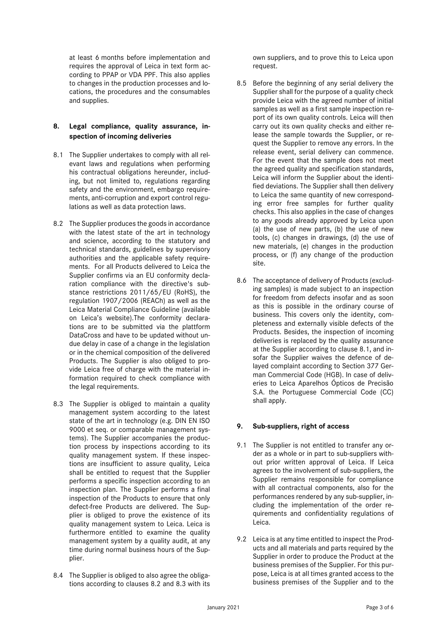at least 6 months before implementation and requires the approval of Leica in text form according to PPAP or VDA PPF. This also applies to changes in the production processes and locations, the procedures and the consumables and supplies.

## **8. Legal compliance, quality assurance, inspection of incoming deliveries**

- 8.1 The Supplier undertakes to comply with all relevant laws and regulations when performing his contractual obligations hereunder, including, but not limited to, regulations regarding safety and the environment, embargo requirements, anti-corruption and export control regulations as well as data protection laws.
- 8.2 The Supplier produces the goods in accordance with the latest state of the art in technology and science, according to the statutory and technical standards, guidelines by supervisory authorities and the applicable safety requirements. For all Products delivered to Leica the Supplier confirms via an EU conformity declaration compliance with the directive's substance restrictions 2011/65/EU (RoHS), the regulation 1907/2006 (REACh) as well as the Leica Material Compliance Guideline (available on Leica's website).The conformity declarations are to be submitted via the plattform DataCross and have to be updated without undue delay in case of a change in the legislation or in the chemical composition of the delivered Products. The Supplier is also obliged to provide Leica free of charge with the material information required to check compliance with the legal requirements.
- 8.3 The Supplier is obliged to maintain a quality management system according to the latest state of the art in technology (e.g. DIN EN ISO 9000 et seq. or comparable management systems). The Supplier accompanies the production process by inspections according to its quality management system. If these inspections are insufficient to assure quality, Leica shall be entitled to request that the Supplier performs a specific inspection according to an inspection plan. The Supplier performs a final inspection of the Products to ensure that only defect-free Products are delivered. The Supplier is obliged to prove the existence of its quality management system to Leica. Leica is furthermore entitled to examine the quality management system by a quality audit, at any time during normal business hours of the Supplier.
- 8.4 The Supplier is obliged to also agree the obligations according to clauses 8.2 and 8.3 with its

own suppliers, and to prove this to Leica upon request.

- 8.5 Before the beginning of any serial delivery the Supplier shall for the purpose of a quality check provide Leica with the agreed number of initial samples as well as a first sample inspection report of its own quality controls. Leica will then carry out its own quality checks and either release the sample towards the Supplier, or request the Supplier to remove any errors. In the release event, serial delivery can commence. For the event that the sample does not meet the agreed quality and specification standards, Leica will inform the Supplier about the identified deviations. The Supplier shall then delivery to Leica the same quantity of new corresponding error free samples for further quality checks. This also applies in the case of changes to any goods already approved by Leica upon (a) the use of new parts, (b) the use of new tools, (c) changes in drawings, (d) the use of new materials, (e) changes in the production process, or (f) any change of the production site.
- 8.6 The acceptance of delivery of Products (excluding samples) is made subject to an inspection for freedom from defects insofar and as soon as this is possible in the ordinary course of business. This covers only the identity, completeness and externally visible defects of the Products. Besides, the inspection of incoming deliveries is replaced by the quality assurance at the Supplier according to clause 8.1, and insofar the Supplier waives the defence of delayed complaint according to Section 377 German Commercial Code (HGB). In case of deliveries to Leica Aparelhos Ópticos de Precisão S.A. the Portuguese Commercial Code (CC) shall apply.

## **9. Sub-suppliers, right of access**

- 9.1 The Supplier is not entitled to transfer any order as a whole or in part to sub-suppliers without prior written approval of Leica. If Leica agrees to the involvement of sub-suppliers, the Supplier remains responsible for compliance with all contractual components, also for the performances rendered by any sub-supplier, including the implementation of the order requirements and confidentiality regulations of Leica.
- 9.2 Leica is at any time entitled to inspect the Products and all materials and parts required by the Supplier in order to produce the Product at the business premises of the Supplier. For this purpose, Leica is at all times granted access to the business premises of the Supplier and to the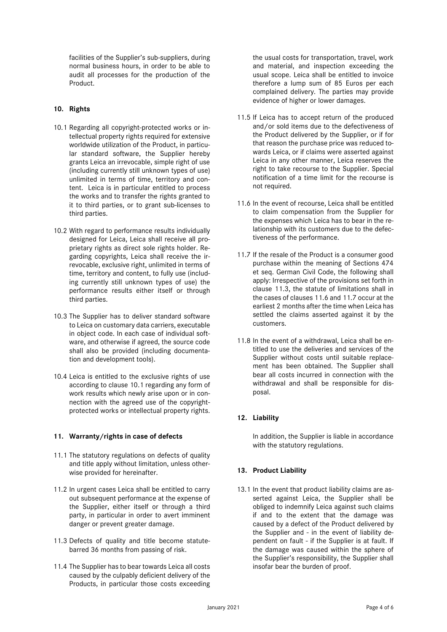facilities of the Supplier's sub-suppliers, during normal business hours, in order to be able to audit all processes for the production of the Product.

### **10. Rights**

- 10.1 Regarding all copyright-protected works or intellectual property rights required for extensive worldwide utilization of the Product, in particular standard software, the Supplier hereby grants Leica an irrevocable, simple right of use (including currently still unknown types of use) unlimited in terms of time, territory and content. Leica is in particular entitled to process the works and to transfer the rights granted to it to third parties, or to grant sub-licenses to third parties.
- 10.2 With regard to performance results individually designed for Leica, Leica shall receive all proprietary rights as direct sole rights holder. Regarding copyrights, Leica shall receive the irrevocable, exclusive right, unlimited in terms of time, territory and content, to fully use (including currently still unknown types of use) the performance results either itself or through third parties.
- 10.3 The Supplier has to deliver standard software to Leica on customary data carriers, executable in object code. In each case of individual software, and otherwise if agreed, the source code shall also be provided (including documentation and development tools).
- 10.4 Leica is entitled to the exclusive rights of use according to clause 10.1 regarding any form of work results which newly arise upon or in connection with the agreed use of the copyrightprotected works or intellectual property rights.

### **11. Warranty/rights in case of defects**

- 11.1 The statutory regulations on defects of quality and title apply without limitation, unless otherwise provided for hereinafter.
- 11.2 In urgent cases Leica shall be entitled to carry out subsequent performance at the expense of the Supplier, either itself or through a third party, in particular in order to avert imminent danger or prevent greater damage.
- 11.3 Defects of quality and title become statutebarred 36 months from passing of risk.
- 11.4 The Supplier has to bear towards Leica all costs caused by the culpably deficient delivery of the Products, in particular those costs exceeding

the usual costs for transportation, travel, work and material, and inspection exceeding the usual scope. Leica shall be entitled to invoice therefore a lump sum of 85 Euros per each complained delivery. The parties may provide evidence of higher or lower damages.

- 11.5 If Leica has to accept return of the produced and/or sold items due to the defectiveness of the Product delivered by the Supplier, or if for that reason the purchase price was reduced towards Leica, or if claims were asserted against Leica in any other manner, Leica reserves the right to take recourse to the Supplier. Special notification of a time limit for the recourse is not required.
- 11.6 In the event of recourse, Leica shall be entitled to claim compensation from the Supplier for the expenses which Leica has to bear in the relationship with its customers due to the defectiveness of the performance.
- 11.7 If the resale of the Product is a consumer good purchase within the meaning of Sections 474 et seq. German Civil Code, the following shall apply: Irrespective of the provisions set forth in clause 11.3, the statute of limitations shall in the cases of clauses 11.6 and 11.7 occur at the earliest 2 months after the time when Leica has settled the claims asserted against it by the customers.
- 11.8 In the event of a withdrawal, Leica shall be entitled to use the deliveries and services of the Supplier without costs until suitable replacement has been obtained. The Supplier shall bear all costs incurred in connection with the withdrawal and shall be responsible for disposal.

## **12. Liability**

In addition, the Supplier is liable in accordance with the statutory regulations.

## **13. Product Liability**

13.1 In the event that product liability claims are asserted against Leica, the Supplier shall be obliged to indemnify Leica against such claims if and to the extent that the damage was caused by a defect of the Product delivered by the Supplier and - in the event of liability dependent on fault - if the Supplier is at fault. If the damage was caused within the sphere of the Supplier's responsibility, the Supplier shall insofar bear the burden of proof.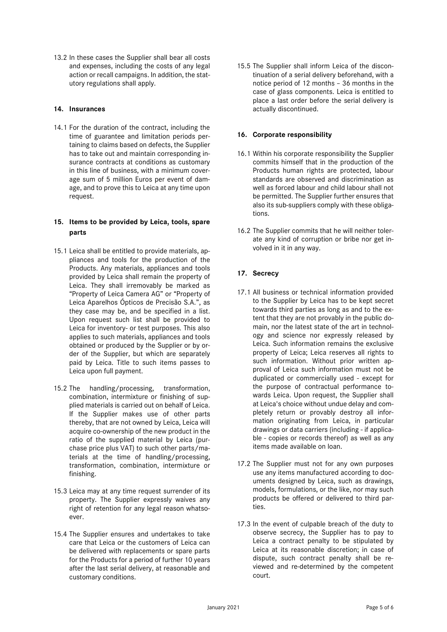13.2 In these cases the Supplier shall bear all costs and expenses, including the costs of any legal action or recall campaigns. In addition, the statutory regulations shall apply.

### **14. Insurances**

14.1 For the duration of the contract, including the time of guarantee and limitation periods pertaining to claims based on defects, the Supplier has to take out and maintain corresponding insurance contracts at conditions as customary in this line of business, with a minimum coverage sum of 5 million Euros per event of damage, and to prove this to Leica at any time upon request.

## **15. Items to be provided by Leica, tools, spare parts**

- 15.1 Leica shall be entitled to provide materials, appliances and tools for the production of the Products. Any materials, appliances and tools provided by Leica shall remain the property of Leica. They shall irremovably be marked as "Property of Leica Camera AG" or "Property of Leica Aparelhos Ópticos de Precisão S.A.", as they case may be, and be specified in a list. Upon request such list shall be provided to Leica for inventory- or test purposes. This also applies to such materials, appliances and tools obtained or produced by the Supplier or by order of the Supplier, but which are separately paid by Leica. Title to such items passes to Leica upon full payment.
- 15.2 The handling/processing, transformation, combination, intermixture or finishing of supplied materials is carried out on behalf of Leica. If the Supplier makes use of other parts thereby, that are not owned by Leica, Leica will acquire co-ownership of the new product in the ratio of the supplied material by Leica (purchase price plus VAT) to such other parts/materials at the time of handling/processing, transformation, combination, intermixture or finishing.
- 15.3 Leica may at any time request surrender of its property. The Supplier expressly waives any right of retention for any legal reason whatsoever.
- 15.4 The Supplier ensures and undertakes to take care that Leica or the customers of Leica can be delivered with replacements or spare parts for the Products for a period of further 10 years after the last serial delivery, at reasonable and customary conditions.

15.5 The Supplier shall inform Leica of the discontinuation of a serial delivery beforehand, with a notice period of 12 months – 36 months in the case of glass components. Leica is entitled to place a last order before the serial delivery is actually discontinued.

## **16. Corporate responsibility**

- 16.1 Within his corporate responsibility the Supplier commits himself that in the production of the Products human rights are protected, labour standards are observed and discrimination as well as forced labour and child labour shall not be permitted. The Supplier further ensures that also its sub-suppliers comply with these obligations.
- 16.2 The Supplier commits that he will neither tolerate any kind of corruption or bribe nor get involved in it in any way.

# **17. Secrecy**

- 17.1 All business or technical information provided to the Supplier by Leica has to be kept secret towards third parties as long as and to the extent that they are not provably in the public domain, nor the latest state of the art in technology and science nor expressly released by Leica. Such information remains the exclusive property of Leica; Leica reserves all rights to such information. Without prior written approval of Leica such information must not be duplicated or commercially used - except for the purpose of contractual performance towards Leica. Upon request, the Supplier shall at Leica's choice without undue delay and completely return or provably destroy all information originating from Leica, in particular drawings or data carriers (including - if applicable - copies or records thereof) as well as any items made available on loan.
- 17.2 The Supplier must not for any own purposes use any items manufactured according to documents designed by Leica, such as drawings, models, formulations, or the like, nor may such products be offered or delivered to third parties.
- 17.3 In the event of culpable breach of the duty to observe secrecy, the Supplier has to pay to Leica a contract penalty to be stipulated by Leica at its reasonable discretion; in case of dispute, such contract penalty shall be reviewed and re-determined by the competent court.